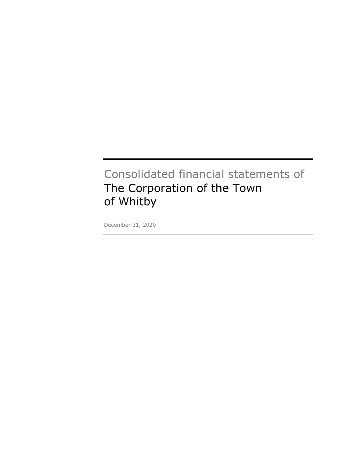#### Consolidated financial statements of The Corporation of the Town of Whitby

December 31, 2020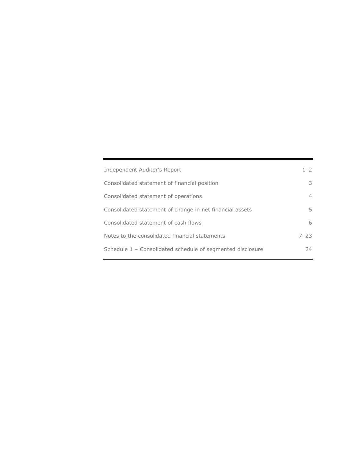| Independent Auditor's Report                               | $1 - 2$  |
|------------------------------------------------------------|----------|
| Consolidated statement of financial position               | 3        |
| Consolidated statement of operations                       | 4        |
| Consolidated statement of change in net financial assets   | 5        |
| Consolidated statement of cash flows                       | 6        |
| Notes to the consolidated financial statements             | $7 - 23$ |
| Schedule 1 - Consolidated schedule of segmented disclosure | 24       |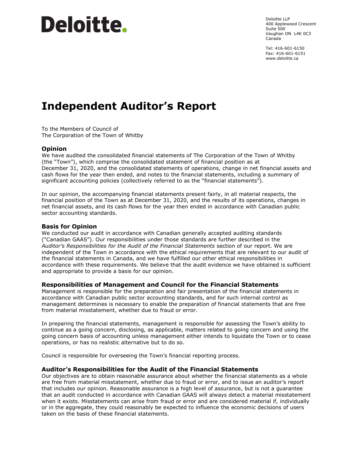### Deloitte.

Deloitte LLP 400 Applewood Crescent Suite 500 Vaughan ON L4K 0C3 Canada

Tel: 416-601-6150 Fax: 416-601-6151 [www.deloitte.ca](http://www.deloitte.ca)

#### <span id="page-2-0"></span>Independent Auditor's Report

To the Members of Council of The Corporation of the Town of Whitby

#### Opinion

We have audited the consolidated financial statements of The Corporation of the Town of Whitby (the "Town"), which comprise the consolidated statement of financial position as at December 31, 2020, and the consolidated statements of operations, change in net financial assets and cash flows for the year then ended, and notes to the financial statements, including a summary of significant accounting policies (collectively referred to as the "financial statements").

In our opinion, the accompanying financial statements present fairly, in all material respects, the financial position of the Town as at December 31, 2020, and the results of its operations, changes in net financial assets, and its cash flows for the year then ended in accordance with Canadian public sector accounting standards.

#### Basis for Opinion

We conducted our audit in accordance with Canadian generally accepted auditing standards ("Canadian GAAS"). Our responsibilities under those standards are further described in the Auditor's Responsibilities for the Audit of the Financial Statements section of our report. We are independent of the Town in accordance with the ethical requirements that are relevant to our audit of the financial statements in Canada, and we have fulfilled our other ethical responsibilities in accordance with these requirements. We believe that the audit evidence we have obtained is sufficient and appropriate to provide a basis for our opinion.

#### Responsibilities of Management and Council for the Financial Statements

Management is responsible for the preparation and fair presentation of the financial statements in accordance with Canadian public sector accounting standards, and for such internal control as management determines is necessary to enable the preparation of financial statements that are free from material misstatement, whether due to fraud or error.

In preparing the financial statements, management is responsible for assessing the Town's ability to continue as a going concern, disclosing, as applicable, matters related to going concern and using the going concern basis of accounting unless management either intends to liquidate the Town or to cease operations, or has no realistic alternative but to do so.

Council is responsible for overseeing the Town's financial reporting process.

#### Auditor's Responsibilities for the Audit of the Financial Statements

Our objectives are to obtain reasonable assurance about whether the financial statements as a whole are free from material misstatement, whether due to fraud or error, and to issue an auditor's report that includes our opinion. Reasonable assurance is a high level of assurance, but is not a guarantee that an audit conducted in accordance with Canadian GAAS will always detect a material misstatement when it exists. Misstatements can arise from fraud or error and are considered material if, individually or in the aggregate, they could reasonably be expected to influence the economic decisions of users taken on the basis of these financial statements.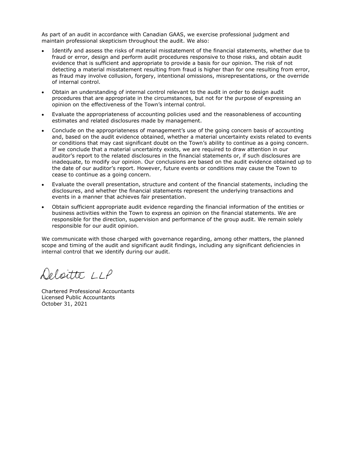As part of an audit in accordance with Canadian GAAS, we exercise professional judgment and maintain professional skepticism throughout the audit. We also:

- Identify and assess the risks of material misstatement of the financial statements, whether due to fraud or error, design and perform audit procedures responsive to those risks, and obtain audit evidence that is sufficient and appropriate to provide a basis for our opinion. The risk of not detecting a material misstatement resulting from fraud is higher than for one resulting from error, as fraud may involve collusion, forgery, intentional omissions, misrepresentations, or the override of internal control.
- Obtain an understanding of internal control relevant to the audit in order to design audit procedures that are appropriate in the circumstances, but not for the purpose of expressing an opinion on the effectiveness of the Town's internal control.
- Evaluate the appropriateness of accounting policies used and the reasonableness of accounting estimates and related disclosures made by management.
- Conclude on the appropriateness of management's use of the going concern basis of accounting and, based on the audit evidence obtained, whether a material uncertainty exists related to events or conditions that may cast significant doubt on the Town's ability to continue as a going concern. If we conclude that a material uncertainty exists, we are required to draw attention in our auditor's report to the related disclosures in the financial statements or, if such disclosures are inadequate, to modify our opinion. Our conclusions are based on the audit evidence obtained up to the date of our auditor's report. However, future events or conditions may cause the Town to cease to continue as a going concern.
- Evaluate the overall presentation, structure and content of the financial statements, including the disclosures, and whether the financial statements represent the underlying transactions and events in a manner that achieves fair presentation.
- Obtain sufficient appropriate audit evidence regarding the financial information of the entities or business activities within the Town to express an opinion on the financial statements. We are responsible for the direction, supervision and performance of the group audit. We remain solely responsible for our audit opinion.

We communicate with those charged with governance regarding, among other matters, the planned scope and timing of the audit and significant audit findings, including any significant deficiencies in internal control that we identify during our audit.

Oeloitte LLP

Chartered Professional Accountants Licensed Public Accountants October 31, 2021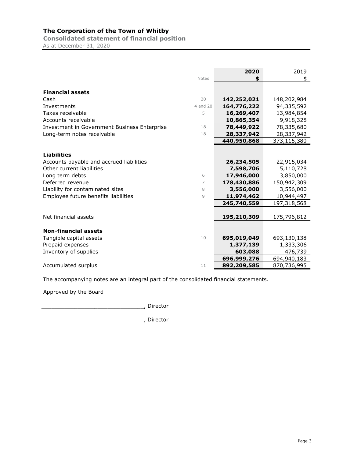<span id="page-4-0"></span>Consolidated statement of financial position As at December 31, 2020

|                                                                                                                                                                                                                | <b>Notes</b>     | 2020<br>\$                                                                      | 2019<br>\$                                                                     |
|----------------------------------------------------------------------------------------------------------------------------------------------------------------------------------------------------------------|------------------|---------------------------------------------------------------------------------|--------------------------------------------------------------------------------|
| <b>Financial assets</b>                                                                                                                                                                                        |                  |                                                                                 |                                                                                |
| Cash                                                                                                                                                                                                           | 20               | 142,252,021                                                                     | 148,202,984                                                                    |
| Investments                                                                                                                                                                                                    | 4 and 20         | 164,776,222                                                                     | 94,335,592                                                                     |
| Taxes receivable                                                                                                                                                                                               | 5                | 16,269,407                                                                      | 13,984,854                                                                     |
| Accounts receivable                                                                                                                                                                                            |                  | 10,865,354                                                                      | 9,918,328                                                                      |
| Investment in Government Business Enterprise                                                                                                                                                                   | 18               | 78,449,922                                                                      | 78,335,680                                                                     |
| Long-term notes receivable                                                                                                                                                                                     | 18               | 28,337,942                                                                      | 28,337,942                                                                     |
|                                                                                                                                                                                                                |                  | 440,950,868                                                                     | 373,115,380                                                                    |
| <b>Liabilities</b><br>Accounts payable and accrued liabilities<br>Other current liabilities<br>Long term debts<br>Deferred revenue<br>Liability for contaminated sites<br>Employee future benefits liabilities | 6<br>7<br>8<br>9 | 26,234,505<br>7,598,706<br>17,946,000<br>178,430,886<br>3,556,000<br>11,974,462 | 22,915,034<br>5,110,728<br>3,850,000<br>150,942,309<br>3,556,000<br>10,944,497 |
| Net financial assets                                                                                                                                                                                           |                  | 245,740,559<br>195,210,309                                                      | 197,318,568<br>175,796,812                                                     |
| <b>Non-financial assets</b>                                                                                                                                                                                    |                  |                                                                                 |                                                                                |
| Tangible capital assets                                                                                                                                                                                        | 10               | 695,019,049                                                                     | 693,130,138                                                                    |
| Prepaid expenses                                                                                                                                                                                               |                  | 1,377,139                                                                       | 1,333,306                                                                      |
| Inventory of supplies                                                                                                                                                                                          |                  | 603,088                                                                         | 476,739                                                                        |
|                                                                                                                                                                                                                |                  | 696,999,276                                                                     | 694,940,183                                                                    |
| Accumulated surplus                                                                                                                                                                                            | 11               | 892,209,585                                                                     | 870,736,995                                                                    |

The accompanying notes are an integral part of the consolidated financial statements.

Approved by the Board

\_\_\_\_\_\_\_\_\_\_\_\_\_\_\_\_\_\_\_\_\_\_\_\_\_\_\_\_\_\_\_, Director

\_\_\_\_\_\_\_\_\_\_\_\_\_\_\_\_\_\_\_\_\_\_\_\_\_\_\_\_\_\_\_, Director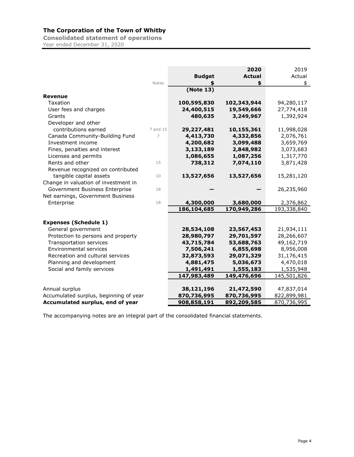<span id="page-5-0"></span>Consolidated statement of operations

Year ended December 31, 2020

|                                        |          |               | 2020          | 2019        |
|----------------------------------------|----------|---------------|---------------|-------------|
|                                        |          | <b>Budget</b> | <b>Actual</b> | Actual      |
|                                        | Notes    |               | \$            | \$          |
|                                        |          | (Note 13)     |               |             |
| <b>Revenue</b>                         |          |               |               |             |
| Taxation                               |          | 100,595,830   | 102,343,944   | 94,280,117  |
| User fees and charges                  |          | 24,400,515    | 19,549,666    | 27,774,418  |
| Grants                                 |          | 480,635       | 3,249,967     | 1,392,924   |
| Developer and other                    |          |               |               |             |
| contributions earned                   | 7 and 15 | 29,227,481    | 10,155,361    | 11,998,028  |
| Canada Community-Building Fund         | 7        | 4,413,730     | 4,332,856     | 2,076,761   |
| Investment income                      |          | 4,200,682     | 3,099,488     | 3,659,769   |
| Fines, penalties and interest          |          | 3,133,189     | 2,848,982     | 3,073,683   |
| Licenses and permits                   |          | 1,086,655     | 1,087,256     | 1,317,770   |
| Rents and other                        | 15       | 738,312       | 7,074,110     | 3,871,428   |
| Revenue recognized on contributed      |          |               |               |             |
| tangible capital assets                | 10       | 13,527,656    | 13,527,656    | 15,281,120  |
| Change in valuation of investment in   |          |               |               |             |
| Government Business Enterprise         | 18       |               |               | 26,235,960  |
| Net earnings, Government Business      |          |               |               |             |
| Enterprise                             | 18       | 4,300,000     | 3,680,000     | 2,376,862   |
|                                        |          | 186,104,685   | 170,949,286   | 193,338,840 |
|                                        |          |               |               |             |
| <b>Expenses (Schedule 1)</b>           |          |               |               |             |
| General government                     |          | 28,534,108    | 23,567,453    | 21,934,111  |
| Protection to persons and property     |          | 28,980,797    | 29,701,597    | 28,266,607  |
| Transportation services                |          | 43,715,784    | 53,688,763    | 49,162,719  |
| <b>Environmental services</b>          |          | 7,506,241     | 6,855,698     | 8,956,008   |
| Recreation and cultural services       |          | 32,873,593    | 29,071,329    | 31,176,415  |
| Planning and development               |          | 4,881,475     | 5,036,673     | 4,470,018   |
| Social and family services             |          | 1,491,491     | 1,555,183     | 1,535,948   |
|                                        |          | 147,983,489   | 149,476,696   | 145,501,826 |
|                                        |          |               |               |             |
| Annual surplus                         |          | 38,121,196    | 21,472,590    | 47,837,014  |
| Accumulated surplus, beginning of year |          | 870,736,995   | 870,736,995   | 822,899,981 |
| Accumulated surplus, end of year       |          | 908,858,191   | 892,209,585   | 870,736,995 |

The accompanying notes are an integral part of the consolidated financial statements.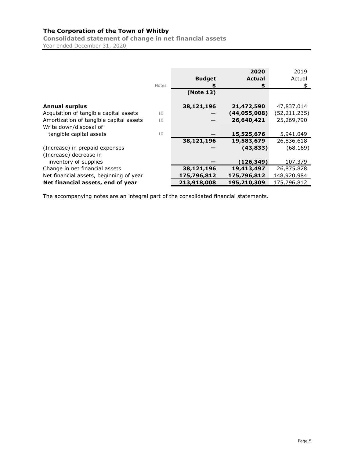<span id="page-6-0"></span>Consolidated statement of change in net financial assets Year ended December 31, 2020

|                                         |       |               | 2020           | 2019           |
|-----------------------------------------|-------|---------------|----------------|----------------|
|                                         |       | <b>Budget</b> | <b>Actual</b>  | Actual         |
|                                         | Notes |               | \$             | \$             |
|                                         |       | (Note 13)     |                |                |
| <b>Annual surplus</b>                   |       | 38,121,196    | 21,472,590     | 47,837,014     |
| Acquisition of tangible capital assets  | 10    |               | (44, 055, 008) | (52, 211, 235) |
| Amortization of tangible capital assets | 10    |               | 26,640,421     | 25,269,790     |
| Write down/disposal of                  |       |               |                |                |
| tangible capital assets                 | 10    |               | 15,525,676     | 5,941,049      |
|                                         |       | 38,121,196    | 19,583,679     | 26,836,618     |
| (Increase) in prepaid expenses          |       |               | (43, 833)      | (68, 169)      |
| (Increase) decrease in                  |       |               |                |                |
| inventory of supplies                   |       |               | (126, 349)     | 107,379        |
| Change in net financial assets          |       | 38,121,196    | 19,413,497     | 26,875,828     |
| Net financial assets, beginning of year |       | 175,796,812   | 175,796,812    | 148,920,984    |
| Net financial assets, end of year       |       | 213,918,008   | 195,210,309    | 175,796,812    |

The accompanying notes are an integral part of the consolidated financial statements.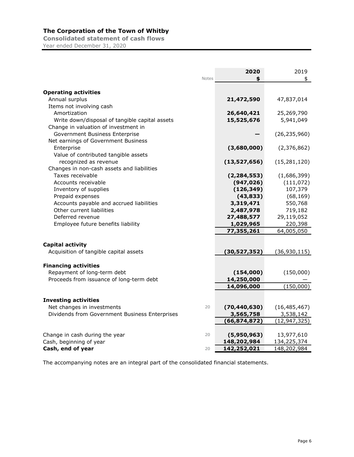<span id="page-7-0"></span>Consolidated statement of cash flows Year ended December 31, 2020

|                                                |       | 2020           | 2019           |
|------------------------------------------------|-------|----------------|----------------|
|                                                | Notes |                | \$             |
|                                                |       |                |                |
| <b>Operating activities</b>                    |       |                |                |
| Annual surplus                                 |       | 21,472,590     | 47,837,014     |
| Items not involving cash                       |       |                |                |
| Amortization                                   |       | 26,640,421     | 25,269,790     |
| Write down/disposal of tangible capital assets |       | 15,525,676     | 5,941,049      |
| Change in valuation of investment in           |       |                |                |
| Government Business Enterprise                 |       |                | (26, 235, 960) |
| Net earnings of Government Business            |       |                |                |
| Enterprise                                     |       | (3,680,000)    | (2,376,862)    |
| Value of contributed tangible assets           |       |                |                |
| recognized as revenue                          |       | (13,527,656)   | (15, 281, 120) |
| Changes in non-cash assets and liabilities     |       |                |                |
| Taxes receivable                               |       | (2, 284, 553)  | (1,686,399)    |
| Accounts receivable                            |       | (947, 026)     | (111, 072)     |
| Inventory of supplies                          |       | (126, 349)     | 107,379        |
| Prepaid expenses                               |       | (43, 833)      | (68, 169)      |
| Accounts payable and accrued liabilities       |       | 3,319,471      | 550,768        |
| Other current liabilities                      |       | 2,487,978      | 719,182        |
| Deferred revenue                               |       | 27,488,577     | 29,119,052     |
| Employee future benefits liability             |       | 1,029,965      | 220,398        |
|                                                |       | 77,355,261     | 64,005,050     |
|                                                |       |                |                |
| <b>Capital activity</b>                        |       |                |                |
| Acquisition of tangible capital assets         |       | (30, 527, 352) | (36, 930, 115) |
|                                                |       |                |                |
| <b>Financing activities</b>                    |       |                |                |
| Repayment of long-term debt                    |       | (154,000)      | (150,000)      |
| Proceeds from issuance of long-term debt       |       | 14,250,000     |                |
|                                                |       | 14,096,000     | (150,000)      |
| <b>Investing activities</b>                    |       |                |                |
| Net changes in investments                     | 20    | (70, 440, 630) | (16, 485, 467) |
| Dividends from Government Business Enterprises |       | 3,565,758      | 3,538,142      |
|                                                |       | (66, 874, 872) | (12, 947, 325) |
|                                                |       |                |                |
| Change in cash during the year                 | 20    | (5,950,963)    | 13,977,610     |
| Cash, beginning of year                        |       | 148,202,984    | 134,225,374    |
| Cash, end of year                              | 20    | 142,252,021    | 148,202,984    |

The accompanying notes are an integral part of the consolidated financial statements.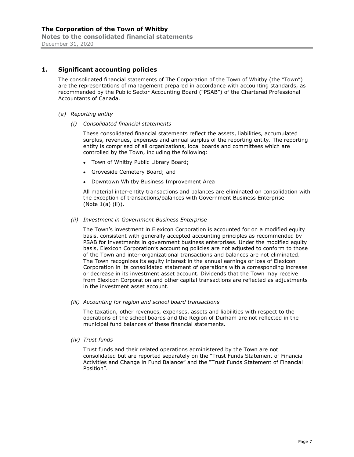#### <span id="page-8-0"></span>1. Significant accounting policies

The consolidated financial statements of The Corporation of the Town of Whitby (the "Town") are the representations of management prepared in accordance with accounting standards, as recommended by the Public Sector Accounting Board ("PSAB") of the Chartered Professional Accountants of Canada.

- (a) Reporting entity
	- (i) Consolidated financial statements

These consolidated financial statements reflect the assets, liabilities, accumulated surplus, revenues, expenses and annual surplus of the reporting entity. The reporting entity is comprised of all organizations, local boards and committees which are controlled by the Town, including the following:

- Town of Whitby Public Library Board;
- Groveside Cemetery Board; and
- Downtown Whitby Business Improvement Area

All material inter-entity transactions and balances are eliminated on consolidation with the exception of transactions/balances with Government Business Enterprise (Note 1(a) (ii)).

(ii) Investment in Government Business Enterprise

The Town's investment in Elexicon Corporation is accounted for on a modified equity basis, consistent with generally accepted accounting principles as recommended by PSAB for investments in government business enterprises. Under the modified equity basis, Elexicon Corporation's accounting policies are not adjusted to conform to those of the Town and inter-organizational transactions and balances are not eliminated. The Town recognizes its equity interest in the annual earnings or loss of Elexicon Corporation in its consolidated statement of operations with a corresponding increase or decrease in its investment asset account. Dividends that the Town may receive from Elexicon Corporation and other capital transactions are reflected as adjustments in the investment asset account.

(iii) Accounting for region and school board transactions

The taxation, other revenues, expenses, assets and liabilities with respect to the operations of the school boards and the Region of Durham are not reflected in the municipal fund balances of these financial statements.

(iv) Trust funds

Trust funds and their related operations administered by the Town are not consolidated but are reported separately on the "Trust Funds Statement of Financial Activities and Change in Fund Balance" and the "Trust Funds Statement of Financial Position".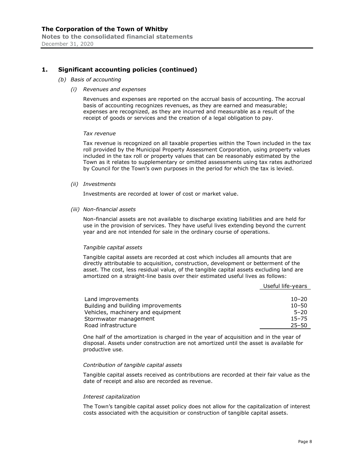#### 1. Significant accounting policies (continued)

- (b) Basis of accounting
	- (i) Revenues and expenses

Revenues and expenses are reported on the accrual basis of accounting. The accrual basis of accounting recognizes revenues, as they are earned and measurable; expenses are recognized, as they are incurred and measurable as a result of the receipt of goods or services and the creation of a legal obligation to pay.

#### Tax revenue

Tax revenue is recognized on all taxable properties within the Town included in the tax roll provided by the Municipal Property Assessment Corporation, using property values included in the tax roll or property values that can be reasonably estimated by the Town as it relates to supplementary or omitted assessments using tax rates authorized by Council for the Town's own purposes in the period for which the tax is levied.

(ii) Investments

Investments are recorded at lower of cost or market value.

(iii) Non-financial assets

Non-financial assets are not available to discharge existing liabilities and are held for use in the provision of services. They have useful lives extending beyond the current year and are not intended for sale in the ordinary course of operations.

#### Tangible capital assets

Tangible capital assets are recorded at cost which includes all amounts that are directly attributable to acquisition, construction, development or betterment of the asset. The cost, less residual value, of the tangible capital assets excluding land are amortized on a straight-line basis over their estimated useful lives as follows:

Useful life-years

| Land improvements                  | $10 - 20$ |
|------------------------------------|-----------|
| Building and building improvements | $10 - 50$ |
| Vehicles, machinery and equipment  | $5 - 20$  |
| Stormwater management              | $15 - 75$ |
| Road infrastructure                | $25 - 50$ |

One half of the amortization is charged in the year of acquisition and in the year of disposal. Assets under construction are not amortized until the asset is available for productive use.

#### Contribution of tangible capital assets

Tangible capital assets received as contributions are recorded at their fair value as the date of receipt and also are recorded as revenue.

#### Interest capitalization

The Town's tangible capital asset policy does not allow for the capitalization of interest costs associated with the acquisition or construction of tangible capital assets.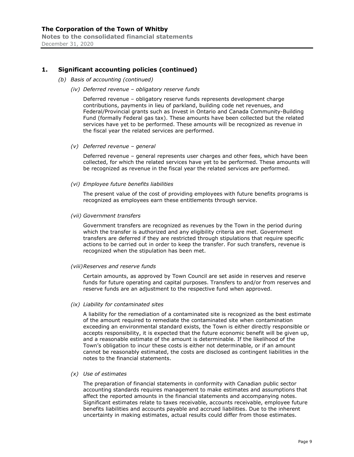Notes to the consolidated financial statements December 31, 2020

#### 1. Significant accounting policies (continued)

- (b) Basis of accounting (continued)
	- (iv) Deferred revenue obligatory reserve funds

Deferred revenue - obligatory reserve funds represents development charge contributions, payments in lieu of parkland, building code net revenues, and Federal/Provincial grants such as Invest in Ontario and Canada Community-Building Fund (formally Federal gas tax). These amounts have been collected but the related services have yet to be performed. These amounts will be recognized as revenue in the fiscal year the related services are performed.

(v) Deferred revenue - general

Deferred revenue - general represents user charges and other fees, which have been collected, for which the related services have yet to be performed. These amounts will be recognized as revenue in the fiscal year the related services are performed.

(vi) Employee future benefits liabilities

The present value of the cost of providing employees with future benefits programs is recognized as employees earn these entitlements through service.

(vii) Government transfers

Government transfers are recognized as revenues by the Town in the period during which the transfer is authorized and any eligibility criteria are met. Government transfers are deferred if they are restricted through stipulations that require specific actions to be carried out in order to keep the transfer. For such transfers, revenue is recognized when the stipulation has been met.

(viii)Reserves and reserve funds

Certain amounts, as approved by Town Council are set aside in reserves and reserve funds for future operating and capital purposes. Transfers to and/or from reserves and reserve funds are an adjustment to the respective fund when approved.

(ix) Liability for contaminated sites

A liability for the remediation of a contaminated site is recognized as the best estimate of the amount required to remediate the contaminated site when contamination exceeding an environmental standard exists, the Town is either directly responsible or accepts responsibility, it is expected that the future economic benefit will be given up, and a reasonable estimate of the amount is determinable. If the likelihood of the Town's obligation to incur these costs is either not determinable, or if an amount cannot be reasonably estimated, the costs are disclosed as contingent liabilities in the notes to the financial statements.

(x) Use of estimates

The preparation of financial statements in conformity with Canadian public sector accounting standards requires management to make estimates and assumptions that affect the reported amounts in the financial statements and accompanying notes. Significant estimates relate to taxes receivable, accounts receivable, employee future benefits liabilities and accounts payable and accrued liabilities. Due to the inherent uncertainty in making estimates, actual results could differ from those estimates.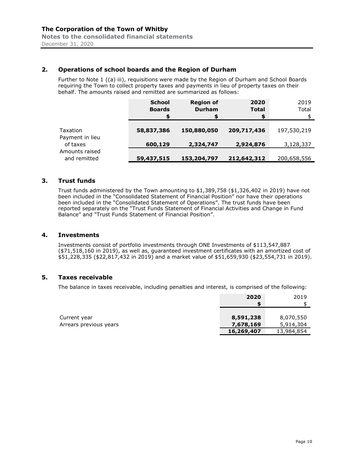#### 2. Operations of school boards and the Region of Durham

Further to Note 1 ((a) iii), requisitions were made by the Region of Durham and School Boards requiring the Town to collect property taxes and payments in lieu of property taxes on their behalf. The amounts raised and remitted are summarized as follows:

|                                | <b>School</b><br><b>Boards</b><br>\$ | <b>Region of</b><br><b>Durham</b><br>\$ | 2020<br><b>Total</b><br>\$ | 2019<br>Total |
|--------------------------------|--------------------------------------|-----------------------------------------|----------------------------|---------------|
| Taxation<br>Payment in lieu    | 58,837,386                           | 150,880,050                             | 209,717,436                | 197,530,219   |
| of taxes                       | 600,129                              | 2,324,747                               | 2,924,876                  | 3,128,337     |
| Amounts raised<br>and remitted | 59,437,515                           | 153,204,797                             | 212,642,312                | 200,658,556   |

#### 3. Trust funds

Trust funds administered by the Town amounting to \$1,389,758 (\$1,326,402 in 2019) have not been included in the "Consolidated Statement of Financial Position" nor have their operations been included in the "Consolidated Statement of Operations". The trust funds have been reported separately on the "Trust Funds Statement of Financial Activities and Change in Fund Balance" and "Trust Funds Statement of Financial Position".

#### 4. Investments

Investments consist of portfolio investments through ONE Investments of \$113,547,887 (\$71,518,160 in 2019), as well as, guaranteed investment certificates with an amortized cost of \$51,228,335 (\$22,817,432 in 2019) and a market value of \$51,659,930 (\$23,554,731 in 2019).

#### 5. Taxes receivable

The balance in taxes receivable, including penalties and interest, is comprised of the following:

|                        | 2020       | 2019       |
|------------------------|------------|------------|
|                        |            |            |
|                        |            |            |
| Current year           | 8,591,238  | 8,070,550  |
| Arrears previous years | 7,678,169  | 5,914,304  |
|                        | 16,269,407 | 13,984,854 |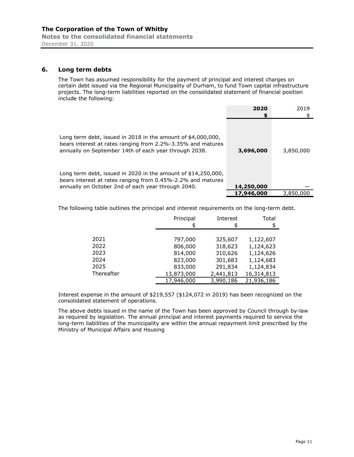Notes to the consolidated financial statements December 31, 2020

#### 6. Long term debts

The Town has assumed responsibility for the payment of principal and interest charges on certain debt issued via the Regional Municipality of Durham, to fund Town capital infrastructure projects. The long-term liabilities reported on the consolidated statement of financial position include the following:

|                                                                                                                                                                                                                                                                                                                          | 2020       | 2019      |
|--------------------------------------------------------------------------------------------------------------------------------------------------------------------------------------------------------------------------------------------------------------------------------------------------------------------------|------------|-----------|
|                                                                                                                                                                                                                                                                                                                          | S          |           |
| Long term debt, issued in 2018 in the amount of $$4,000,000$ ,<br>bears interest at rates ranging from 2.2%-3.35% and matures<br>annually on September 14th of each year through 2038.<br>Long term debt, issued in 2020 in the amount of $$14,250,000$ ,<br>bears interest at rates ranging from 0.45%-2.2% and matures | 3,696,000  | 3,850,000 |
| annually on October 2nd of each year through 2040.                                                                                                                                                                                                                                                                       | 14,250,000 |           |
|                                                                                                                                                                                                                                                                                                                          | 17,946,000 | 3,850,000 |

The following table outlines the principal and interest requirements on the long-term debt.

|            | Principal  | Interest  | Total      |
|------------|------------|-----------|------------|
|            | \$         |           | \$         |
|            |            |           |            |
| 2021       | 797,000    | 325,607   | 1,122,607  |
| 2022       | 806,000    | 318,623   | 1,124,623  |
| 2023       | 814,000    | 310,626   | 1,124,626  |
| 2024       | 823,000    | 301,683   | 1,124,683  |
| 2025       | 833,000    | 291,834   | 1,124,834  |
| Thereafter | 13,873,000 | 2,441,813 | 16,314,813 |
|            | 17,946,000 | 3,990,186 | 21,936,186 |

Interest expense in the amount of \$219,557 (\$124,072 in 2019) has been recognized on the consolidated statement of operations.

The above debts issued in the name of the Town has been approved by Council through by-law as required by legislation. The annual principal and interest payments required to service the long-term liabilities of the municipality are within the annual repayment limit prescribed by the Ministry of Municipal Affairs and Housing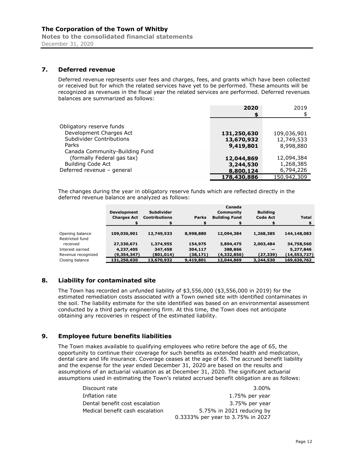Notes to the consolidated financial statements December 31, 2020

#### 7. Deferred revenue

Deferred revenue represents user fees and charges, fees, and grants which have been collected or received but for which the related services have yet to be performed. These amounts will be recognized as revenues in the fiscal year the related services are performed. Deferred revenues balances are summarized as follows:

|                                | 2020        | 2019        |
|--------------------------------|-------------|-------------|
|                                | S           |             |
|                                |             |             |
| Obligatory reserve funds       |             |             |
| Development Charges Act        | 131,250,630 | 109,036,901 |
| Subdivider Contributions       | 13,670,932  | 12,749,533  |
| Parks                          | 9,419,801   | 8,998,880   |
| Canada Community-Building Fund |             |             |
| (formally Federal gas tax)     | 12,044,869  | 12,094,384  |
| <b>Building Code Act</b>       | 3,244,530   | 1,268,385   |
| Deferred revenue - general     | 8,800,124   | 6,794,226   |
|                                | 178,430,886 | 150,942,309 |

The changes during the year in obligatory reserve funds which are reflected directly in the deferred revenue balance are analyzed as follows:

|                    | <b>Development</b><br><b>Charges Act</b> | <b>Subdivider</b><br><b>Contributions</b> | <b>Parks</b> | Canada<br>Community<br><b>Building Fund</b> | <b>Building</b><br><b>Code Act</b> | <b>Total</b> |
|--------------------|------------------------------------------|-------------------------------------------|--------------|---------------------------------------------|------------------------------------|--------------|
|                    |                                          |                                           |              |                                             |                                    |              |
| Opening balance    | 109,036,901                              | 12,749,533                                | 8,998,880    | 12,094,384                                  | 1,268,385                          | 144,148,083  |
| Restricted fund    |                                          |                                           |              |                                             |                                    |              |
| received           | 27,330,671                               | 1,374,955                                 | 154,975      | 3,894,475                                   | 2,003,484                          | 34,758,560   |
| Interest earned    | 4,237,405                                | 347,458                                   | 304,117      | 388,866                                     |                                    | 5,277,846    |
| Revenue recognized | (9,354,347)                              | (801,014)                                 | (38, 171)    | (4,332,856)                                 | (27,339)                           | (14,553,727) |
| Closing balance    | 131,250,630                              | 13,670,932                                | 9,419,801    | 12,044,869                                  | 3,244,530                          | 169,630,762  |

#### 8. Liability for contaminated site

The Town has recorded an unfunded liability of \$3,556,000 (\$3,556,000 in 2019) for the estimated remediation costs associated with a Town owned site with identified contaminates in the soil. The liability estimate for the site identified was based on an environmental assessment conducted by a third party engineering firm. At this time, the Town does not anticipate obtaining any recoveries in respect of the estimated liability.

#### 9. Employee future benefits liabilities

The Town makes available to qualifying employees who retire before the age of 65, the opportunity to continue their coverage for such benefits as extended health and medication, dental care and life insurance. Coverage ceases at the age of 65. The accrued benefit liability and the expense for the year ended December 31, 2020 are based on the results and assumptions of an actuarial valuation as at December 31, 2020. The significant actuarial assumptions used in estimating the Town's related accrued benefit obligation are as follows:

| Discount rate                   | 3.00%                             |
|---------------------------------|-----------------------------------|
| Inflation rate                  | 1.75% per year                    |
| Dental benefit cost escalation  | 3.75% per year                    |
| Medical benefit cash escalation | 5.75% in 2021 reducing by         |
|                                 | 0.3333% per year to 3.75% in 2027 |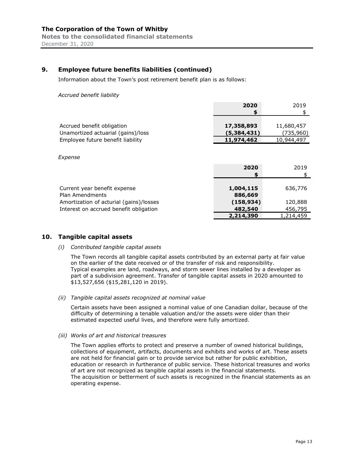#### 9. Employee future benefits liabilities (continued)

Information about the Town's post retirement benefit plan is as follows:

Accrued benefit liability

|                                    | 2020        | 2019       |
|------------------------------------|-------------|------------|
|                                    |             |            |
|                                    |             |            |
| Accrued benefit obligation         | 17,358,893  | 11,680,457 |
| Unamortized actuarial (gains)/loss | (5,384,431) | (735, 960) |
| Employee future benefit liability  | 11,974,462  | 10,944,497 |
|                                    |             |            |

Expense

|                                                 | 2020<br>S            | 2019      |
|-------------------------------------------------|----------------------|-----------|
| Current year benefit expense<br>Plan Amendments | 1,004,115<br>886,669 | 636,776   |
| Amortization of acturial (gains)/losses         | (158, 934)           | 120,888   |
| Interest on accrued benefit obligation          | 482,540              | 456,795   |
|                                                 | 2,214,390            | 1,214,459 |

#### 10. Tangible capital assets

#### (i) Contributed tangible capital assets

The Town records all tangible capital assets contributed by an external party at fair value on the earlier of the date received or of the transfer of risk and responsibility. Typical examples are land, roadways, and storm sewer lines installed by a developer as part of a subdivision agreement. Transfer of tangible capital assets in 2020 amounted to \$13,527,656 (\$15,281,120 in 2019).

#### (ii) Tangible capital assets recognized at nominal value

Certain assets have been assigned a nominal value of one Canadian dollar, because of the difficulty of determining a tenable valuation and/or the assets were older than their estimated expected useful lives, and therefore were fully amortized.

#### (iii) Works of art and historical treasures

The Town applies efforts to protect and preserve a number of owned historical buildings, collections of equipment, artifacts, documents and exhibits and works of art. These assets are not held for financial gain or to provide service but rather for public exhibition, education or research in furtherance of public service. These historical treasures and works of art are not recognized as tangible capital assets in the financial statements. The acquisition or betterment of such assets is recognized in the financial statements as an operating expense.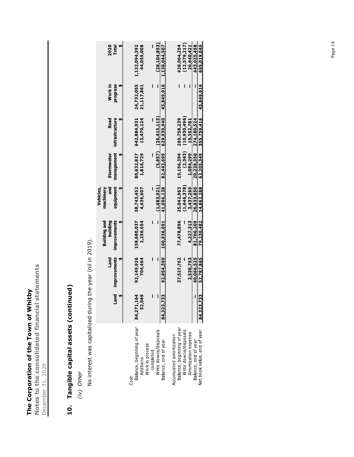The Corporation of the Town of Whitby The Corporation of the Town of Whitby

Notes to the consolidated financial statements Notes to the consolidated financial statements December 31, 2020 December 31, 2020

# 10. Tangible capital assets (continued)

10. Tangible capital assets (continued)

(iv) Other (iv) Other

No interest was capitalized during the year (nil in 2019). No interest was capitalized during the year (nil in 2019).

|                              | nd<br>Fi              | improvements<br>Land | Building and<br>building<br>improvements | equipment<br>Vehicles,<br>ang<br>machinery | management<br>Stormwater | <b>Road</b><br>infrastructure | Work in<br>progress | 2020<br>Total            |
|------------------------------|-----------------------|----------------------|------------------------------------------|--------------------------------------------|--------------------------|-------------------------------|---------------------|--------------------------|
| Cost                         |                       |                      |                                          |                                            |                          |                               |                     |                          |
| Balance, beginning of year   | 54<br>84,271,1        | 92,149,926           | 158,680,037                              | 38,743,452                                 | 80,632,827               | 642,884,931                   | 24,732,055          | 1,122,094,392            |
| Work in process<br>Additions | $\frac{6}{9}$<br>52,5 | 704,464              | 2,256,654                                | 4,636,607                                  | 1,816,729                | 13,470,124                    | 21,117,861          | 44,055,008               |
| completed                    |                       | Ī                    |                                          |                                            |                          |                               | ı                   |                          |
| Write downs/disposals        |                       |                      |                                          | (1,683,921)                                |                          | $(5.857)$ $(26.415.115)$      | ľ                   | (28, 104, 893)           |
| Balance, end of year         | 84,323,733            | 92,854,390           | 160,936,691                              | 41,696,138                                 | 82,443,699               | 629,939,940                   |                     | 45,849,916 1,138,044,507 |
| Accumulated amortization     |                       |                      |                                          |                                            |                          |                               |                     |                          |
| Balance, beginning of year   |                       | 37,527,762           | 77,478,896                               | 25,042,963                                 | 19,156,394               | 269,758,239                   | Ī                   | 428,964,254              |
| Write downs/disposals        |                       |                      |                                          | (1,646,378)                                | (2,343)                  | (10, 930, 496)                | Ī                   | (12, 579, 217)           |
| Amortization expense         |                       | 2,538,763            | 4.227.313                                | 3,437.265                                  | 1.084.299                | 15,352.781                    |                     | 26.640.421               |
| Balance, end of year         |                       | 40,066,525           | 81,706,209                               | 26.833.850                                 | 20,238,350               | 274,180,524                   |                     | 443.025.458              |
| Net book value, end of year  | ភូ<br>84,323,7        | 52,787,865           | 79,230,482                               | 14,862,288                                 | 62,205,349               | 355,759,416                   | 45,849,916          | 695,019,049              |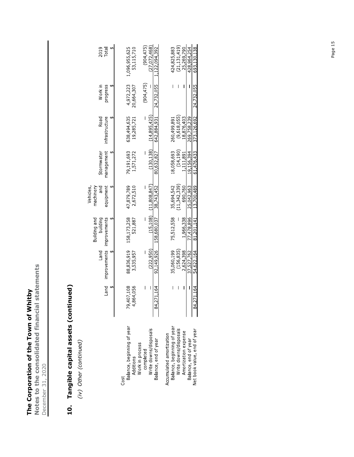The Corporation of the Town of Whitby The Corporation of the Town of Whitby

Notes to the consolidated financial statements Notes to the consolidated financial statements December 31, 2020 December 31, 2020

## 10. Tangible capital assets (continued) 10. Tangible capital assets (continued)

(iv) Other (continued) (iv) Other (continued)

|                                                                                                                                                                | Puel                           | improvements improvements<br>Land                                 | Building and<br>building                            | and<br>equipment<br>Vehicles,<br>machinery                       | management<br>Stormwater                                         | Road<br>infrastructure                                                 | Work in<br>progress      | 2019<br>Total                                                             |
|----------------------------------------------------------------------------------------------------------------------------------------------------------------|--------------------------------|-------------------------------------------------------------------|-----------------------------------------------------|------------------------------------------------------------------|------------------------------------------------------------------|------------------------------------------------------------------------|--------------------------|---------------------------------------------------------------------------|
| Balance, beginning of year<br>Additions<br>Cost                                                                                                                | 407,108<br>864,056<br>79.      | 88,836,919<br>3,535,957                                           | 158,173,258<br>521,887                              | 47,879,789<br>2,672,510                                          | 79,191,693<br>1,571,272                                          | 638,494,635<br>19,285,721                                              | 4,972,223<br>20,664,307  | 1,096,955,625<br>53,115,710                                               |
| Write downs/disposals<br>Balance, end of year<br>Work in process<br>completed                                                                                  | ı<br>I<br>271,164<br>$\approx$ | (222.950)<br>92,149,926                                           | 158,680,037                                         | $(15.108)$ $(11.808.847)$<br>38,743,452                          | (130.138)<br>80,632,827                                          | (14, 895, 425)<br>642.884.931                                          | (904, 475)<br>24,732,055 | (904, 475)<br>(27.072.468)<br>1,122,094,392                               |
| Balance, beginning of year<br>Write downs/disposals<br>Net book value, end of year<br>Amortization expense<br>Accumulated amortization<br>Balance, end of year | 271,164<br>I<br>$\frac{4}{3}$  | 35,060,199<br>(156, 835)<br>37,527,762<br>2.624.398<br>54.622.164 | 81,201,141<br>75,512,558<br>77.478.896<br>1,966.338 | 11,342,339)<br>35,694,542<br>25,042.963<br>13.700.489<br>690.760 | (14, 190)<br>18,058,693<br>61,476,433<br>19,156,394<br>1.111.891 | (9,618,055)<br>373,126,692<br>18,876,403<br>269.758.239<br>260,499,891 | 24.732.055               | (21, 131, 419)<br>424,825,883<br>693,130,138<br>25.269.790<br>428.964.254 |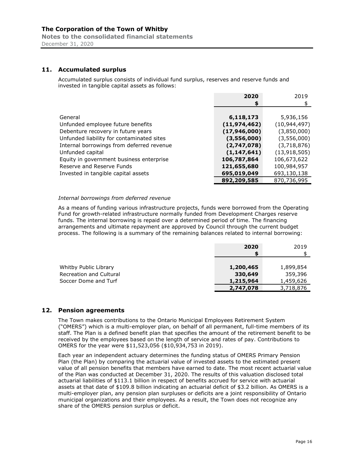Notes to the consolidated financial statements December 31, 2020

#### 11. Accumulated surplus

Accumulated surplus consists of individual fund surplus, reserves and reserve funds and invested in tangible capital assets as follows:

|                                           | 2020           | 2019           |
|-------------------------------------------|----------------|----------------|
|                                           | \$             |                |
|                                           |                |                |
| General                                   | 6,118,173      | 5,936,156      |
| Unfunded employee future benefits         | (11, 974, 462) | (10, 944, 497) |
| Debenture recovery in future years        | (17,946,000)   | (3,850,000)    |
| Unfunded liability for contaminated sites | (3,556,000)    | (3,556,000)    |
| Internal borrowings from deferred revenue | (2,747,078)    | (3,718,876)    |
| Unfunded capital                          | (1, 147, 641)  | (13, 918, 505) |
| Equity in government business enterprise  | 106,787,864    | 106,673,622    |
| Reserve and Reserve Funds                 | 121,655,680    | 100,984,957    |
| Invested in tangible capital assets       | 695,019,049    | 693,130,138    |
|                                           | 892,209,585    | 870,736,995    |

#### Internal borrowings from deferred revenue

As a means of funding various infrastructure projects, funds were borrowed from the Operating Fund for growth-related infrastructure normally funded from Development Charges reserve funds. The internal borrowing is repaid over a determined period of time. The financing arrangements and ultimate repayment are approved by Council through the current budget process. The following is a summary of the remaining balances related to internal borrowing:

|                                | 2020      | 2019      |
|--------------------------------|-----------|-----------|
|                                |           |           |
|                                |           |           |
| Whitby Public Library          | 1,200,465 | 1,899,854 |
| <b>Recreation and Cultural</b> | 330,649   | 359,396   |
| Soccer Dome and Turf           | 1,215,964 | 1,459,626 |
|                                | 2,747,078 | 3,718,876 |

#### 12. Pension agreements

The Town makes contributions to the Ontario Municipal Employees Retirement System ("OMERS") which is a multi-employer plan, on behalf of all permanent, full-time members of its staff. The Plan is a defined benefit plan that specifies the amount of the retirement benefit to be received by the employees based on the length of service and rates of pay. Contributions to OMERS for the year were \$11,523,056 (\$10,934,753 in 2019).

Each year an independent actuary determines the funding status of OMERS Primary Pension Plan (the Plan) by comparing the actuarial value of invested assets to the estimated present value of all pension benefits that members have earned to date. The most recent actuarial value of the Plan was conducted at December 31, 2020. The results of this valuation disclosed total actuarial liabilities of \$113.1 billion in respect of benefits accrued for service with actuarial assets at that date of \$109.8 billion indicating an actuarial deficit of \$3.2 billion. As OMERS is a multi-employer plan, any pension plan surpluses or deficits are a joint responsibility of Ontario municipal organizations and their employees. As a result, the Town does not recognize any share of the OMERS pension surplus or deficit.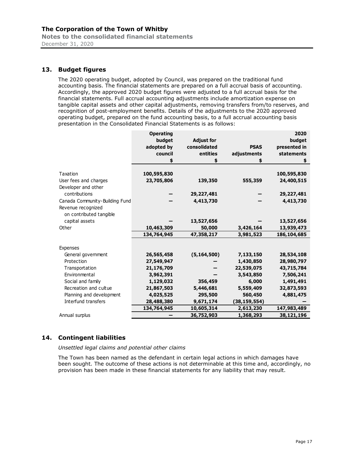Notes to the consolidated financial statements December 31, 2020

#### 13. Budget figures

The 2020 operating budget, adopted by Council, was prepared on the traditional fund accounting basis. The financial statements are prepared on a full accrual basis of accounting. Accordingly, the approved 2020 budget figures were adjusted to a full accrual basis for the financial statements. Full accrual accounting adjustments include amortization expense on tangible capital assets and other capital adjustments, removing transfers from/to reserves, and recognition of post-employment benefits. Details of the adjustments to the 2020 approved operating budget, prepared on the fund accounting basis, to a full accrual accounting basis presentation in the Consolidated Financial Statements is as follows:

|                                | <b>Operating</b> |                   |                | 2020          |
|--------------------------------|------------------|-------------------|----------------|---------------|
|                                | budget           | <b>Adjust for</b> |                | budget        |
|                                | adopted by       | consolidated      | <b>PSAS</b>    | presented in  |
|                                | council          | entities          | adjustments    | statements    |
|                                | \$               | \$                |                | \$            |
| Taxation                       | 100,595,830      |                   |                | 100,595,830   |
| User fees and charges          | 23,705,806       | 139,350           | 555,359        | 24,400,515    |
| Developer and other            |                  |                   |                |               |
| contributions                  |                  | 29,227,481        |                | 29, 227, 481  |
| Canada Community-Building Fund |                  | 4,413,730         |                | 4,413,730     |
| Revenue recognized             |                  |                   |                |               |
| on contributed tangible        |                  |                   |                |               |
| capital assets                 |                  |                   |                |               |
|                                |                  | 13,527,656        |                | 13,527,656    |
| Other                          | 10,463,309       | 50,000            | 3,426,164      | 13,939,473    |
|                                | 134,764,945      | 47,358,217        | 3,981,523      | 186, 104, 685 |
| Expenses                       |                  |                   |                |               |
| General government             | 26,565,458       | (5, 164, 500)     | 7,133,150      | 28,534,108    |
| Protection                     | 27,549,947       |                   | 1,430,850      | 28,980,797    |
| Transportation                 | 21,176,709       |                   | 22,539,075     | 43,715,784    |
| Environmental                  | 3,962,391        |                   | 3,543,850      | 7,506,241     |
| Social and family              | 1,129,032        | 356,459           | 6,000          | 1,491,491     |
| Recreation and cultue          | 21,867,503       | 5,446,681         | 5,559,409      | 32,873,593    |
| Planning and development       | 4,025,525        | 295,500           | 560,450        | 4,881,475     |
| Interfund transfers            | 28,488,380       | 9,671,174         | (38, 159, 554) |               |
|                                | 134,764,945      |                   |                |               |
|                                |                  | 10,605,314        | 2,613,230      | 147,983,489   |
| Annual surplus                 |                  | 36,752,903        | 1,368,293      | 38,121,196    |

#### 14. Contingent liabilities

Unsettled legal claims and potential other claims

The Town has been named as the defendant in certain legal actions in which damages have been sought. The outcome of these actions is not determinable at this time and, accordingly, no provision has been made in these financial statements for any liability that may result.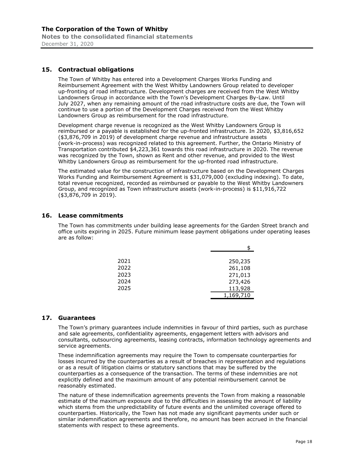#### 15. Contractual obligations

The Town of Whitby has entered into a Development Charges Works Funding and Reimbursement Agreement with the West Whitby Landowners Group related to developer up-fronting of road infrastructure. Development charges are received from the West Whitby Landowners Group in accordance with the Town's Development Charges By-Law. Until July 2027, when any remaining amount of the road infrastructure costs are due, the Town will continue to use a portion of the Development Charges received from the West Whitby Landowners Group as reimbursement for the road infrastructure.

Development charge revenue is recognized as the West Whitby Landowners Group is reimbursed or a payable is established for the up-fronted infrastructure. In 2020, \$3,816,652 (\$3,876,709 in 2019) of development charge revenue and infrastructure assets (work-in-process) was recognized related to this agreement. Further, the Ontario Ministry of Transportation contributed \$4,223,361 towards this road infrastructure in 2020. The revenue was recognized by the Town, shown as Rent and other revenue, and provided to the West Whitby Landowners Group as reimbursement for the up-fronted road infrastructure.

The estimated value for the construction of infrastructure based on the Development Charges Works Funding and Reimbursement Agreement is \$31,079,000 (excluding indexing). To date, total revenue recognized, recorded as reimbursed or payable to the West Whitby Landowners Group, and recognized as Town infrastructure assets (work-in-process) is \$11,916,722 (\$3,876,709 in 2019).

#### 16. Lease commitments

The Town has commitments under building lease agreements for the Garden Street branch and office units expiring in 2025. Future minimum lease payment obligations under operating leases are as follow:

| 2021 | 250,235   |
|------|-----------|
| 2022 | 261,108   |
| 2023 | 271,013   |
| 2024 | 273,426   |
| 2025 | 113,928   |
|      | 1,169,710 |

#### 17. Guarantees

The Town's primary guarantees include indemnities in favour of third parties, such as purchase and sale agreements, confidentiality agreements, engagement letters with advisors and consultants, outsourcing agreements, leasing contracts, information technology agreements and service agreements.

These indemnification agreements may require the Town to compensate counterparties for losses incurred by the counterparties as a result of breaches in representation and regulations or as a result of litigation claims or statutory sanctions that may be suffered by the counterparties as a consequence of the transaction. The terms of these indemnities are not explicitly defined and the maximum amount of any potential reimbursement cannot be reasonably estimated.

The nature of these indemnification agreements prevents the Town from making a reasonable estimate of the maximum exposure due to the difficulties in assessing the amount of liability which stems from the unpredictability of future events and the unlimited coverage offered to counterparties. Historically, the Town has not made any significant payments under such or similar indemnification agreements and therefore, no amount has been accrued in the financial statements with respect to these agreements.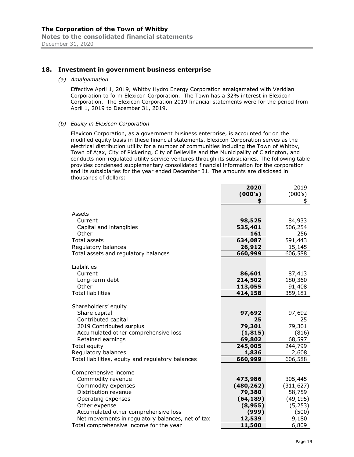#### 18. Investment in government business enterprise

(a) Amalgamation

Effective April 1, 2019, Whitby Hydro Energy Corporation amalgamated with Veridian Corporation to form Elexicon Corporation. The Town has a 32% interest in Elexicon Corporation. The Elexicon Corporation 2019 financial statements were for the period from April 1, 2019 to December 31, 2019.

#### (b) Equity in Elexicon Corporation

Elexicon Corporation, as a government business enterprise, is accounted for on the modified equity basis in these financial statements. Elexicon Corporation serves as the electrical distribution utility for a number of communities including the Town of Whitby, Town of Ajax, City of Pickering, City of Belleville and the Municipality of Clarington, and conducts non-regulated utility service ventures through its subsidiaries. The following table provides condensed supplementary consolidated financial information for the corporation and its subsidiaries for the year ended December 31. The amounts are disclosed in thousands of dollars:

|                                                   | 2020       | 2019       |
|---------------------------------------------------|------------|------------|
|                                                   | (000's)    | (000's)    |
|                                                   | \$         | \$         |
|                                                   |            |            |
| Assets                                            |            |            |
| Current                                           | 98,525     | 84,933     |
| Capital and intangibles                           | 535,401    | 506,254    |
| Other                                             | 161        | 256        |
| <b>Total assets</b>                               | 634,087    | 591,443    |
| Regulatory balances                               | 26,912     | 15,145     |
| Total assets and regulatory balances              | 660,999    | 606,588    |
|                                                   |            |            |
| Liabilities                                       |            |            |
| Current                                           | 86,601     | 87,413     |
| Long-term debt                                    | 214,502    | 180,360    |
| Other                                             | 113,055    | 91,408     |
| <b>Total liabilities</b>                          | 414,158    | 359,181    |
|                                                   |            |            |
| Shareholders' equity                              |            |            |
| Share capital                                     | 97,692     | 97,692     |
| Contributed capital                               | 25         | 25         |
| 2019 Contributed surplus                          | 79,301     | 79,301     |
| Accumulated other comprehensive loss              | (1, 815)   | (816)      |
| Retained earnings                                 | 69,802     | 68,597     |
| Total equity                                      | 245,005    | 244,799    |
| Regulatory balances                               | 1,836      | 2,608      |
| Total liabilities, equity and regulatory balances | 660,999    | 606,588    |
|                                                   |            |            |
| Comprehensive income                              |            |            |
| Commodity revenue                                 | 473,986    | 305,445    |
| Commodity expenses                                | (480, 262) | (311, 627) |
| Distribution revenue                              | 79,380     | 58,759     |
| Operating expenses                                | (64, 189)  | (49, 195)  |
| Other expense                                     | (8, 955)   | (5, 253)   |
| Accumulated other comprehensive loss              | (999)      | (500)      |
| Net movements in regulatory balances, net of tax  | 12,539     | 9,180      |
| Total comprehensive income for the year           | 11,500     | 6,809      |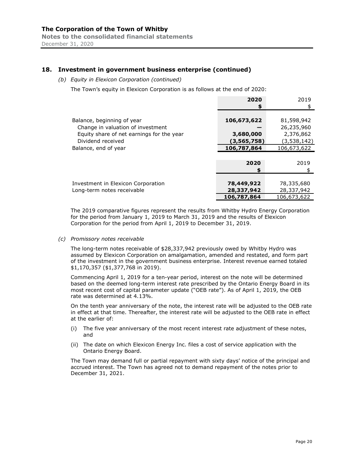#### 18. Investment in government business enterprise (continued)

#### (b) Equity in Elexicon Corporation (continued)

The Town's equity in Elexicon Corporation is as follows at the end of 2020:

|                                           | 2020        | 2019        |
|-------------------------------------------|-------------|-------------|
|                                           | \$          |             |
|                                           |             |             |
| Balance, beginning of year                | 106,673,622 | 81,598,942  |
| Change in valuation of investment         |             | 26,235,960  |
| Equity share of net earnings for the year | 3,680,000   | 2,376,862   |
| Dividend received                         | (3,565,758) | (3,538,142) |
| Balance, end of year                      | 106,787,864 | 106,673,622 |
|                                           |             |             |
|                                           | 2020        | 2019        |
|                                           | S           |             |
|                                           |             |             |
| Investment in Elexicon Corporation        | 78,449,922  | 78,335,680  |
| Long-term notes receivable                | 28,337,942  | 28,337,942  |
|                                           | 106,787,864 | 106,673,622 |

The 2019 comparative figures represent the results from Whitby Hydro Energy Corporation for the period from January 1, 2019 to March 31, 2019 and the results of Elexicon Corporation for the period from April 1, 2019 to December 31, 2019.

(c) Promissory notes receivable

The long-term notes receivable of \$28,337,942 previously owed by Whitby Hydro was assumed by Elexicon Corporation on amalgamation, amended and restated, and form part of the investment in the government business enterprise. Interest revenue earned totaled \$1,170,357 (\$1,377,768 in 2019).

Commencing April 1, 2019 for a ten-year period, interest on the note will be determined based on the deemed long-term interest rate prescribed by the Ontario Energy Board in its most recent cost of capital parameter update ("OEB rate"). As of April 1, 2019, the OEB rate was determined at 4.13%.

On the tenth year anniversary of the note, the interest rate will be adjusted to the OEB rate in effect at that time. Thereafter, the interest rate will be adjusted to the OEB rate in effect at the earlier of:

- (i) The five year anniversary of the most recent interest rate adjustment of these notes, and
- (ii) The date on which Elexicon Energy Inc. files a cost of service application with the Ontario Energy Board.

The Town may demand full or partial repayment with sixty days' notice of the principal and accrued interest. The Town has agreed not to demand repayment of the notes prior to December 31, 2021.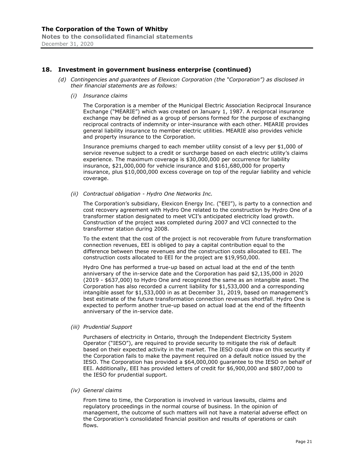#### 18. Investment in government business enterprise (continued)

- (d) Contingencies and guarantees of Elexicon Corporation (the "Corporation") as disclosed in their financial statements are as follows:
	- (i) Insurance claims

The Corporation is a member of the Municipal Electric Association Reciprocal Insurance Exchange ("MEARIE") which was created on January 1, 1987. A reciprocal insurance exchange may be defined as a group of persons formed for the purpose of exchanging reciprocal contracts of indemnity or inter-insurance with each other. MEARIE provides general liability insurance to member electric utilities. MEARIE also provides vehicle and property insurance to the Corporation.

Insurance premiums charged to each member utility consist of a levy per \$1,000 of service revenue subject to a credit or surcharge based on each electric utility's claims experience. The maximum coverage is \$30,000,000 per occurrence for liability insurance, \$21,000,000 for vehicle insurance and \$161,680,000 for property insurance, plus \$10,000,000 excess coverage on top of the regular liability and vehicle coverage.

(ii) Contractual obligation - Hydro One Networks Inc.

The Corporation's subsidiary, Elexicon Energy Inc. ("EEI"), is party to a connection and cost recovery agreement with Hydro One related to the construction by Hydro One of a transformer station designated to meet VCI's anticipated electricity load growth. Construction of the project was completed during 2007 and VCI connected to the transformer station during 2008.

To the extent that the cost of the project is not recoverable from future transformation connection revenues, EEI is obliged to pay a capital contribution equal to the difference between these revenues and the construction costs allocated to EEI. The construction costs allocated to EEI for the project are \$19,950,000.

Hydro One has performed a true-up based on actual load at the end of the tenth anniversary of the in-service date and the Corporation has paid \$2,135,000 in 2020 (2019 - \$637,000) to Hydro One and recognized the same as an intangible asset. The Corporation has also recorded a current liability for \$1,533,000 and a corresponding intangible asset for \$1,533,000 in as at December 31, 2019, based on management's best estimate of the future transformation connection revenues shortfall. Hydro One is expected to perform another true-up based on actual load at the end of the fifteenth anniversary of the in-service date.

(iii) Prudential Support

Purchasers of electricity in Ontario, through the Independent Electricity System Operator ("IESO"), are required to provide security to mitigate the risk of default based on their expected activity in the market. The IESO could draw on this security if the Corporation fails to make the payment required on a default notice issued by the IESO. The Corporation has provided a \$64,000,000 guarantee to the IESO on behalf of EEI. Additionally, EEI has provided letters of credit for \$6,900,000 and \$807,000 to the IESO for prudential support.

(iv) General claims

From time to time, the Corporation is involved in various lawsuits, claims and regulatory proceedings in the normal course of business. In the opinion of management, the outcome of such matters will not have a material adverse effect on the Corporation's consolidated financial position and results of operations or cash flows.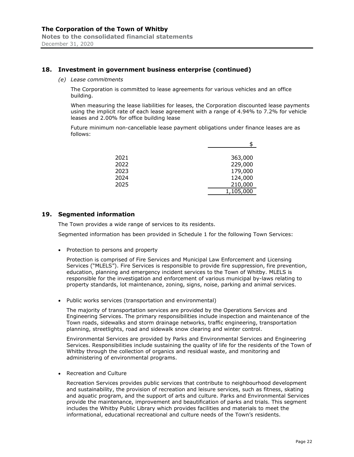#### 18. Investment in government business enterprise (continued)

(e) Lease commitments

The Corporation is committed to lease agreements for various vehicles and an office building.

When measuring the lease liabilities for leases, the Corporation discounted lease payments using the implicit rate of each lease agreement with a range of 4.94% to 7.2% for vehicle leases and 2.00% for office building lease

Future minimum non-cancellable lease payment obligations under finance leases are as follows:

| 2021 | 363,000   |
|------|-----------|
| 2022 | 229,000   |
| 2023 | 179,000   |
| 2024 | 124,000   |
| 2025 | 210,000   |
|      | 1,105,000 |

#### 19. Segmented information

The Town provides a wide range of services to its residents.

Segmented information has been provided in Schedule 1 for the following Town Services:

• Protection to persons and property

Protection is comprised of Fire Services and Municipal Law Enforcement and Licensing Services ("MLELS"). Fire Services is responsible to provide fire suppression, fire prevention, education, planning and emergency incident services to the Town of Whitby. MLELS is responsible for the investigation and enforcement of various municipal by-laws relating to property standards, lot maintenance, zoning, signs, noise, parking and animal services.

Public works services (transportation and environmental)

The majority of transportation services are provided by the Operations Services and Engineering Services. The primary responsibilities include inspection and maintenance of the Town roads, sidewalks and storm drainage networks, traffic engineering, transportation planning, streetlights, road and sidewalk snow clearing and winter control.

Environmental Services are provided by Parks and Environmental Services and Engineering Services. Responsibilities include sustaining the quality of life for the residents of the Town of Whitby through the collection of organics and residual waste, and monitoring and administering of environmental programs.

• Recreation and Culture

Recreation Services provides public services that contribute to neighbourhood development and sustainability, the provision of recreation and leisure services, such as fitness, skating and aquatic program, and the support of arts and culture. Parks and Environmental Services provide the maintenance, improvement and beautification of parks and trials. This segment includes the Whitby Public Library which provides facilities and materials to meet the informational, educational recreational and culture needs of the Town's residents.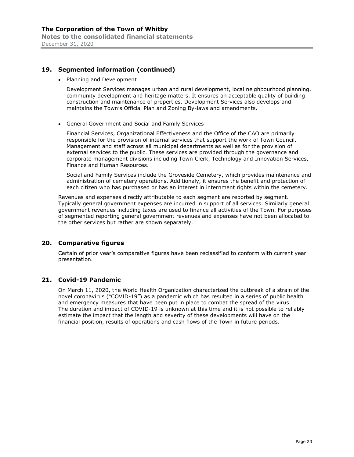#### 19. Segmented information (continued)

• Planning and Development

Development Services manages urban and rural development, local neighbourhood planning, community development and heritage matters. It ensures an acceptable quality of building construction and maintenance of properties. Development Services also develops and maintains the Town's Official Plan and Zoning By-laws and amendments.

General Government and Social and Family Services

Financial Services, Organizational Effectiveness and the Office of the CAO are primarily responsible for the provision of internal services that support the work of Town Council. Management and staff across all municipal departments as well as for the provision of external services to the public. These services are provided through the governance and corporate management divisions including Town Clerk, Technology and Innovation Services, Finance and Human Resources.

Social and Family Services include the Groveside Cemetery, which provides maintenance and administration of cemetery operations. Additionaly, it ensures the benefit and protection of each citizen who has purchased or has an interest in internment rights within the cemetery.

Revenues and expenses directly attributable to each segment are reported by segment. Typically general government expenses are incurred in support of all services. Similarly general government revenues including taxes are used to finance all activities of the Town. For purposes of segmented reporting general government revenues and expenses have not been allocated to the other services but rather are shown separately.

#### 20. Comparative figures

Certain of prior year's comparative figures have been reclassified to conform with current year presentation.

#### 21. Covid-19 Pandemic

On March 11, 2020, the World Health Organization characterized the outbreak of a strain of the novel coronavirus ("COVID-19") as a pandemic which has resulted in a series of public health and emergency measures that have been put in place to combat the spread of the virus. The duration and impact of COVID-19 is unknown at this time and it is not possible to reliably estimate the impact that the length and severity of these developments will have on the financial position, results of operations and cash flows of the Town in future periods.